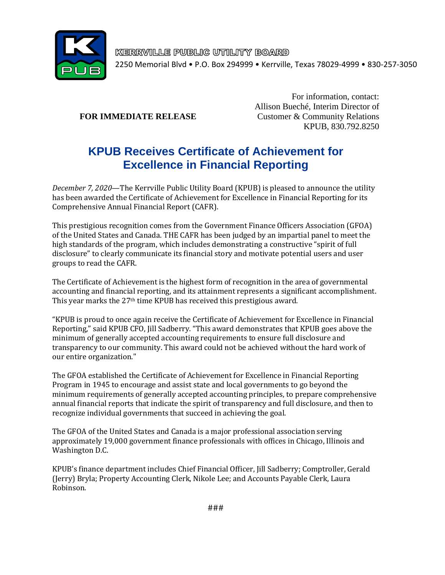

KERRVILLE PUBLIC UTILITY BOARD 2250 Memorial Blvd • P.O. Box 294999 • Kerrville, Texas 78029-4999 • 830-257-3050

For information, contact: Allison Bueché, Interim Director of **FOR IMMEDIATE RELEASE** Customer & Community Relations KPUB, 830.792.8250

## **KPUB Receives Certificate of Achievement for Excellence in Financial Reporting**

*December 7, 2020*—The Kerrville Public Utility Board (KPUB) is pleased to announce the utility has been awarded the Certificate of Achievement for Excellence in Financial Reporting for its Comprehensive Annual Financial Report (CAFR).

This prestigious recognition comes from the Government Finance Officers Association (GFOA) of the United States and Canada. THE CAFR has been judged by an impartial panel to meet the high standards of the program, which includes demonstrating a constructive "spirit of full disclosure" to clearly communicate its financial story and motivate potential users and user groups to read the CAFR.

The Certificate of Achievement is the highest form of recognition in the area of governmental accounting and financial reporting, and its attainment represents a significant accomplishment. This year marks the 27<sup>th</sup> time KPUB has received this prestigious award.

"KPUB is proud to once again receive the Certificate of Achievement for Excellence in Financial Reporting," said KPUB CFO, Jill Sadberry. "This award demonstrates that KPUB goes above the minimum of generally accepted accounting requirements to ensure full disclosure and transparency to our community. This award could not be achieved without the hard work of our entire organization."

The GFOA established the Certificate of Achievement for Excellence in Financial Reporting Program in 1945 to encourage and assist state and local governments to go beyond the minimum requirements of generally accepted accounting principles, to prepare comprehensive annual financial reports that indicate the spirit of transparency and full disclosure, and then to recognize individual governments that succeed in achieving the goal.

The GFOA of the United States and Canada is a major professional association serving approximately 19,000 government finance professionals with offices in Chicago, Illinois and Washington D.C.

KPUB's finance department includes Chief Financial Officer, Jill Sadberry; Comptroller, Gerald (Jerry) Bryla; Property Accounting Clerk, Nikole Lee; and Accounts Payable Clerk, Laura Robinson.